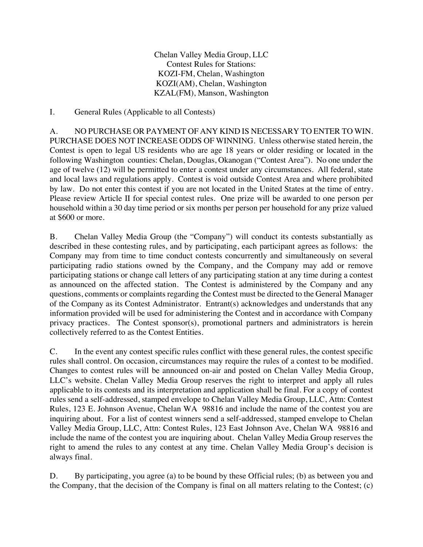Chelan Valley Media Group, LLC Contest Rules for Stations: KOZI-FM, Chelan, Washington KOZI(AM), Chelan, Washington KZAL(FM), Manson, Washington

I. General Rules (Applicable to all Contests)

A. NO PURCHASE OR PAYMENT OF ANY KIND IS NECESSARY TO ENTER TO WIN. PURCHASE DOES NOT INCREASE ODDS OF WINNING. Unless otherwise stated herein, the Contest is open to legal US residents who are age 18 years or older residing or located in the following Washington counties: Chelan, Douglas, Okanogan ("Contest Area"). No one under the age of twelve (12) will be permitted to enter a contest under any circumstances. All federal, state and local laws and regulations apply. Contest is void outside Contest Area and where prohibited by law. Do not enter this contest if you are not located in the United States at the time of entry. Please review Article II for special contest rules. One prize will be awarded to one person per household within a 30 day time period or six months per person per household for any prize valued at \$600 or more.

B. Chelan Valley Media Group (the "Company") will conduct its contests substantially as described in these contesting rules, and by participating, each participant agrees as follows: the Company may from time to time conduct contests concurrently and simultaneously on several participating radio stations owned by the Company, and the Company may add or remove participating stations or change call letters of any participating station at any time during a contest as announced on the affected station. The Contest is administered by the Company and any questions, comments or complaints regarding the Contest must be directed to the General Manager of the Company as its Contest Administrator. Entrant(s) acknowledges and understands that any information provided will be used for administering the Contest and in accordance with Company privacy practices. The Contest sponsor(s), promotional partners and administrators is herein collectively referred to as the Contest Entities.

C. In the event any contest specific rules conflict with these general rules, the contest specific rules shall control. On occasion, circumstances may require the rules of a contest to be modified. Changes to contest rules will be announced on-air and posted on Chelan Valley Media Group, LLC's website. Chelan Valley Media Group reserves the right to interpret and apply all rules applicable to its contests and its interpretation and application shall be final. For a copy of contest rules send a self-addressed, stamped envelope to Chelan Valley Media Group, LLC, Attn: Contest Rules, 123 E. Johnson Avenue, Chelan WA 98816 and include the name of the contest you are inquiring about. For a list of contest winners send a self-addressed, stamped envelope to Chelan Valley Media Group, LLC, Attn: Contest Rules, 123 East Johnson Ave, Chelan WA 98816 and include the name of the contest you are inquiring about. Chelan Valley Media Group reserves the right to amend the rules to any contest at any time. Chelan Valley Media Group's decision is always final.

D. By participating, you agree (a) to be bound by these Official rules; (b) as between you and the Company, that the decision of the Company is final on all matters relating to the Contest; (c)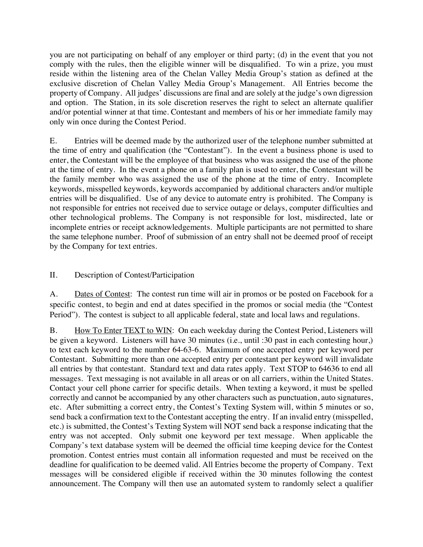you are not participating on behalf of any employer or third party; (d) in the event that you not comply with the rules, then the eligible winner will be disqualified. To win a prize, you must reside within the listening area of the Chelan Valley Media Group's station as defined at the exclusive discretion of Chelan Valley Media Group's Management. All Entries become the property of Company. All judges' discussions are final and are solely at the judge's own digression and option. The Station, in its sole discretion reserves the right to select an alternate qualifier and/or potential winner at that time. Contestant and members of his or her immediate family may only win once during the Contest Period.

E. Entries will be deemed made by the authorized user of the telephone number submitted at the time of entry and qualification (the "Contestant"). In the event a business phone is used to enter, the Contestant will be the employee of that business who was assigned the use of the phone at the time of entry. In the event a phone on a family plan is used to enter, the Contestant will be the family member who was assigned the use of the phone at the time of entry. Incomplete keywords, misspelled keywords, keywords accompanied by additional characters and/or multiple entries will be disqualified. Use of any device to automate entry is prohibited. The Company is not responsible for entries not received due to service outage or delays, computer difficulties and other technological problems. The Company is not responsible for lost, misdirected, late or incomplete entries or receipt acknowledgements. Multiple participants are not permitted to share the same telephone number. Proof of submission of an entry shall not be deemed proof of receipt by the Company for text entries.

# II. Description of Contest/Participation

A. Dates of Contest: The contest run time will air in promos or be posted on Facebook for a specific contest, to begin and end at dates specified in the promos or social media (the "Contest Period"). The contest is subject to all applicable federal, state and local laws and regulations.

B. How To Enter TEXT to WIN: On each weekday during the Contest Period, Listeners will be given a keyword. Listeners will have 30 minutes (i.e., until :30 past in each contesting hour,) to text each keyword to the number 64-63-6. Maximum of one accepted entry per keyword per Contestant. Submitting more than one accepted entry per contestant per keyword will invalidate all entries by that contestant. Standard text and data rates apply. Text STOP to 64636 to end all messages. Text messaging is not available in all areas or on all carriers, within the United States. Contact your cell phone carrier for specific details. When texting a keyword, it must be spelled correctly and cannot be accompanied by any other characters such as punctuation, auto signatures, etc. After submitting a correct entry, the Contest's Texting System will, within 5 minutes or so, send back a confirmation text to the Contestant accepting the entry. If an invalid entry (misspelled, etc.) is submitted, the Contest's Texting System will NOT send back a response indicating that the entry was not accepted. Only submit one keyword per text message. When applicable the Company's text database system will be deemed the official time keeping device for the Contest promotion. Contest entries must contain all information requested and must be received on the deadline for qualification to be deemed valid. All Entries become the property of Company. Text messages will be considered eligible if received within the 30 minutes following the contest announcement. The Company will then use an automated system to randomly select a qualifier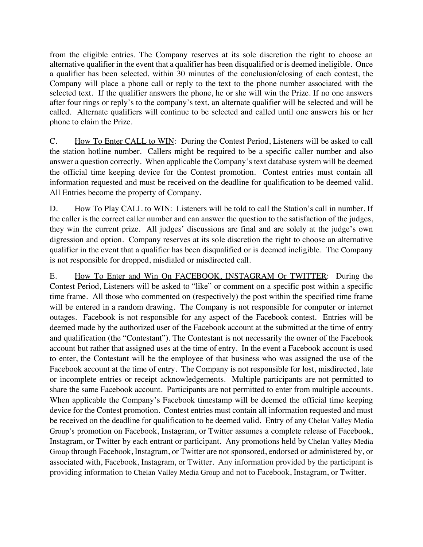from the eligible entries. The Company reserves at its sole discretion the right to choose an alternative qualifier in the event that a qualifier has been disqualified or is deemed ineligible. Once a qualifier has been selected, within 30 minutes of the conclusion/closing of each contest, the Company will place a phone call or reply to the text to the phone number associated with the selected text. If the qualifier answers the phone, he or she will win the Prize. If no one answers after four rings or reply's to the company's text, an alternate qualifier will be selected and will be called. Alternate qualifiers will continue to be selected and called until one answers his or her phone to claim the Prize.

C. How To Enter CALL to WIN: During the Contest Period, Listeners will be asked to call the station hotline number. Callers might be required to be a specific caller number and also answer a question correctly. When applicable the Company's text database system will be deemed the official time keeping device for the Contest promotion. Contest entries must contain all information requested and must be received on the deadline for qualification to be deemed valid. All Entries become the property of Company.

D. How To Play CALL to WIN: Listeners will be told to call the Station's call in number. If the caller is the correct caller number and can answer the question to the satisfaction of the judges, they win the current prize. All judges' discussions are final and are solely at the judge's own digression and option. Company reserves at its sole discretion the right to choose an alternative qualifier in the event that a qualifier has been disqualified or is deemed ineligible. The Company is not responsible for dropped, misdialed or misdirected call.

E. How To Enter and Win On FACEBOOK, INSTAGRAM Or TWITTER: During the Contest Period, Listeners will be asked to "like" or comment on a specific post within a specific time frame. All those who commented on (respectively) the post within the specified time frame will be entered in a random drawing. The Company is not responsible for computer or internet outages. Facebook is not responsible for any aspect of the Facebook contest. Entries will be deemed made by the authorized user of the Facebook account at the submitted at the time of entry and qualification (the "Contestant"). The Contestant is not necessarily the owner of the Facebook account but rather that assigned uses at the time of entry. In the event a Facebook account is used to enter, the Contestant will be the employee of that business who was assigned the use of the Facebook account at the time of entry. The Company is not responsible for lost, misdirected, late or incomplete entries or receipt acknowledgements. Multiple participants are not permitted to share the same Facebook account. Participants are not permitted to enter from multiple accounts. When applicable the Company's Facebook timestamp will be deemed the official time keeping device for the Contest promotion. Contest entries must contain all information requested and must be received on the deadline for qualification to be deemed valid. Entry of any Chelan Valley Media Group's promotion on Facebook, Instagram, or Twitter assumes a complete release of Facebook, Instagram, or Twitter by each entrant or participant. Any promotions held by Chelan Valley Media Group through Facebook, Instagram, or Twitter are not sponsored, endorsed or administered by, or associated with, Facebook, Instagram, or Twitter. Any information provided by the participant is providing information to Chelan Valley Media Group and not to Facebook, Instagram, or Twitter.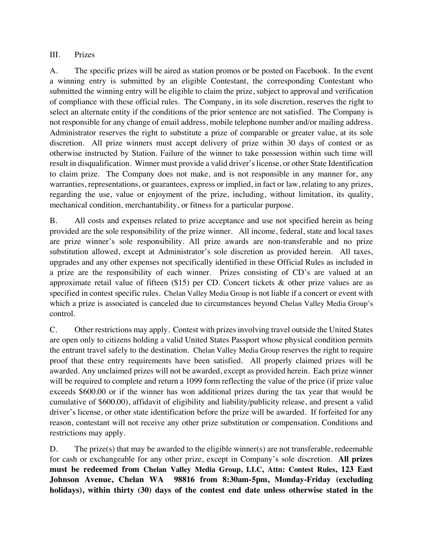## III. Prizes

A. The specific prizes will be aired as station promos or be posted on Facebook. In the event a winning entry is submitted by an eligible Contestant, the corresponding Contestant who submitted the winning entry will be eligible to claim the prize, subject to approval and verification of compliance with these official rules. The Company, in its sole discretion, reserves the right to select an alternate entity if the conditions of the prior sentence are not satisfied. The Company is not responsible for any change of email address, mobile telephone number and/or mailing address. Administrator reserves the right to substitute a prize of comparable or greater value, at its sole discretion. All prize winners must accept delivery of prize within 30 days of contest or as otherwise instructed by Station. Failure of the winner to take possession within such time will result in disqualification. Winner must provide a valid driver's license, or other State Identification to claim prize. The Company does not make, and is not responsible in any manner for, any warranties, representations, or guarantees, express or implied, in fact or law, relating to any prizes, regarding the use, value or enjoyment of the prize, including, without limitation, its quality, mechanical condition, merchantability, or fitness for a particular purpose.

B. All costs and expenses related to prize acceptance and use not specified herein as being provided are the sole responsibility of the prize winner. All income, federal, state and local taxes are prize winner's sole responsibility. All prize awards are non-transferable and no prize substitution allowed, except at Administrator's sole discretion as provided herein. All taxes, upgrades and any other expenses not specifically identified in these Official Rules as included in a prize are the responsibility of each winner. Prizes consisting of CD's are valued at an approximate retail value of fifteen (\$15) per CD. Concert tickets & other prize values are as specified in contest specific rules. Chelan Valley Media Group is not liable if a concert or event with which a prize is associated is canceled due to circumstances beyond Chelan Valley Media Group's control.

C. Other restrictions may apply. Contest with prizes involving travel outside the United States are open only to citizens holding a valid United States Passport whose physical condition permits the entrant travel safely to the destination. Chelan Valley Media Group reserves the right to require proof that these entry requirements have been satisfied. All properly claimed prizes will be awarded. Any unclaimed prizes will not be awarded, except as provided herein. Each prize winner will be required to complete and return a 1099 form reflecting the value of the price (if prize value exceeds \$600.00 or if the winner has won additional prizes during the tax year that would be cumulative of \$600.00), affidavit of eligibility and liability/publicity release, and present a valid driver's license, or other state identification before the prize will be awarded. If forfeited for any reason, contestant will not receive any other prize substitution or compensation. Conditions and restrictions may apply.

D. The prize(s) that may be awarded to the eligible winner(s) are not transferable, redeemable for cash or exchangeable for any other prize, except in Company's sole discretion. **All prizes must be redeemed from Chelan Valley Media Group, LLC, Attn: Contest Rules, 123 East Johnson Avenue, Chelan WA 98816 from 8:30am-5pm, Monday-Friday (excluding holidays), within thirty (30) days of the contest end date unless otherwise stated in the**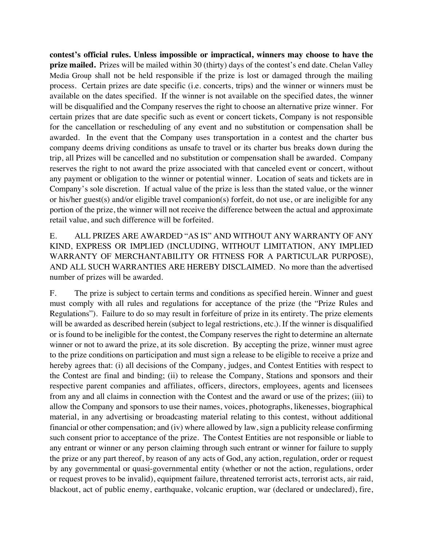**contest's official rules. Unless impossible or impractical, winners may choose to have the prize mailed.** Prizes will be mailed within 30 (thirty) days of the contest's end date. Chelan Valley Media Group shall not be held responsible if the prize is lost or damaged through the mailing process. Certain prizes are date specific (i.e. concerts, trips) and the winner or winners must be available on the dates specified. If the winner is not available on the specified dates, the winner will be disqualified and the Company reserves the right to choose an alternative prize winner. For certain prizes that are date specific such as event or concert tickets, Company is not responsible for the cancellation or rescheduling of any event and no substitution or compensation shall be awarded. In the event that the Company uses transportation in a contest and the charter bus company deems driving conditions as unsafe to travel or its charter bus breaks down during the trip, all Prizes will be cancelled and no substitution or compensation shall be awarded. Company reserves the right to not award the prize associated with that canceled event or concert, without any payment or obligation to the winner or potential winner. Location of seats and tickets are in Company's sole discretion. If actual value of the prize is less than the stated value, or the winner or his/her guest(s) and/or eligible travel companion(s) forfeit, do not use, or are ineligible for any portion of the prize, the winner will not receive the difference between the actual and approximate retail value, and such difference will be forfeited.

E. ALL PRIZES ARE AWARDED "AS IS" AND WITHOUT ANY WARRANTY OF ANY KIND, EXPRESS OR IMPLIED (INCLUDING, WITHOUT LIMITATION, ANY IMPLIED WARRANTY OF MERCHANTABILITY OR FITNESS FOR A PARTICULAR PURPOSE), AND ALL SUCH WARRANTIES ARE HEREBY DISCLAIMED. No more than the advertised number of prizes will be awarded.

F. The prize is subject to certain terms and conditions as specified herein. Winner and guest must comply with all rules and regulations for acceptance of the prize (the "Prize Rules and Regulations"). Failure to do so may result in forfeiture of prize in its entirety. The prize elements will be awarded as described herein (subject to legal restrictions, etc.). If the winner is disqualified or is found to be ineligible for the contest, the Company reserves the right to determine an alternate winner or not to award the prize, at its sole discretion. By accepting the prize, winner must agree to the prize conditions on participation and must sign a release to be eligible to receive a prize and hereby agrees that: (i) all decisions of the Company, judges, and Contest Entities with respect to the Contest are final and binding; (ii) to release the Company, Stations and sponsors and their respective parent companies and affiliates, officers, directors, employees, agents and licensees from any and all claims in connection with the Contest and the award or use of the prizes; (iii) to allow the Company and sponsors to use their names, voices, photographs, likenesses, biographical material, in any advertising or broadcasting material relating to this contest, without additional financial or other compensation; and (iv) where allowed by law, sign a publicity release confirming such consent prior to acceptance of the prize. The Contest Entities are not responsible or liable to any entrant or winner or any person claiming through such entrant or winner for failure to supply the prize or any part thereof, by reason of any acts of God, any action, regulation, order or request by any governmental or quasi-governmental entity (whether or not the action, regulations, order or request proves to be invalid), equipment failure, threatened terrorist acts, terrorist acts, air raid, blackout, act of public enemy, earthquake, volcanic eruption, war (declared or undeclared), fire,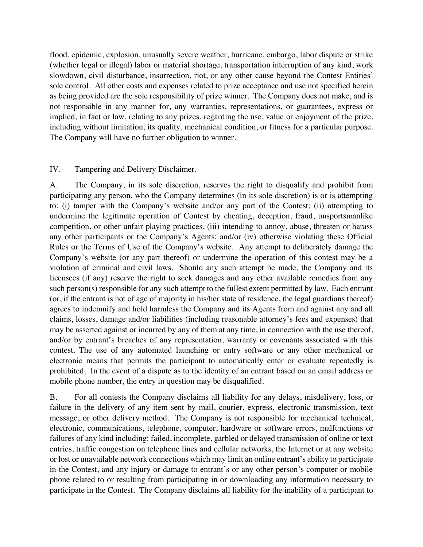flood, epidemic, explosion, unusually severe weather, hurricane, embargo, labor dispute or strike (whether legal or illegal) labor or material shortage, transportation interruption of any kind, work slowdown, civil disturbance, insurrection, riot, or any other cause beyond the Contest Entities' sole control. All other costs and expenses related to prize acceptance and use not specified herein as being provided are the sole responsibility of prize winner. The Company does not make, and is not responsible in any manner for, any warranties, representations, or guarantees, express or implied, in fact or law, relating to any prizes, regarding the use, value or enjoyment of the prize, including without limitation, its quality, mechanical condition, or fitness for a particular purpose. The Company will have no further obligation to winner.

## IV. Tampering and Delivery Disclaimer.

A. The Company, in its sole discretion, reserves the right to disqualify and prohibit from participating any person, who the Company determines (in its sole discretion) is or is attempting to: (i) tamper with the Company's website and/or any part of the Contest; (ii) attempting to undermine the legitimate operation of Contest by cheating, deception, fraud, unsportsmanlike competition, or other unfair playing practices, (iii) intending to annoy, abuse, threaten or harass any other participants or the Company's Agents; and/or (iv) otherwise violating these Official Rules or the Terms of Use of the Company's website. Any attempt to deliberately damage the Company's website (or any part thereof) or undermine the operation of this contest may be a violation of criminal and civil laws. Should any such attempt be made, the Company and its licensees (if any) reserve the right to seek damages and any other available remedies from any such person(s) responsible for any such attempt to the fullest extent permitted by law. Each entrant (or, if the entrant is not of age of majority in his/her state of residence, the legal guardians thereof) agrees to indemnify and hold harmless the Company and its Agents from and against any and all claims, losses, damage and/or liabilities (including reasonable attorney's fees and expenses) that may be asserted against or incurred by any of them at any time, in connection with the use thereof, and/or by entrant's breaches of any representation, warranty or covenants associated with this contest. The use of any automated launching or entry software or any other mechanical or electronic means that permits the participant to automatically enter or evaluate repeatedly is prohibited. In the event of a dispute as to the identity of an entrant based on an email address or mobile phone number, the entry in question may be disqualified.

B. For all contests the Company disclaims all liability for any delays, misdelivery, loss, or failure in the delivery of any item sent by mail, courier, express, electronic transmission, text message, or other delivery method. The Company is not responsible for mechanical technical, electronic, communications, telephone, computer, hardware or software errors, malfunctions or failures of any kind including: failed, incomplete, garbled or delayed transmission of online or text entries, traffic congestion on telephone lines and cellular networks, the Internet or at any website or lost or unavailable network connections which may limit an online entrant's ability to participate in the Contest, and any injury or damage to entrant's or any other person's computer or mobile phone related to or resulting from participating in or downloading any information necessary to participate in the Contest. The Company disclaims all liability for the inability of a participant to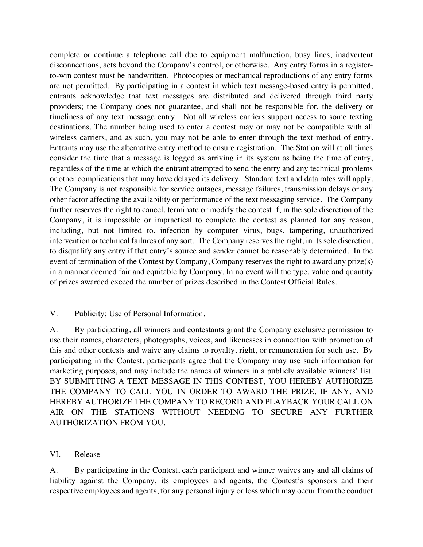complete or continue a telephone call due to equipment malfunction, busy lines, inadvertent disconnections, acts beyond the Company's control, or otherwise. Any entry forms in a registerto-win contest must be handwritten. Photocopies or mechanical reproductions of any entry forms are not permitted. By participating in a contest in which text message-based entry is permitted, entrants acknowledge that text messages are distributed and delivered through third party providers; the Company does not guarantee, and shall not be responsible for, the delivery or timeliness of any text message entry. Not all wireless carriers support access to some texting destinations. The number being used to enter a contest may or may not be compatible with all wireless carriers, and as such, you may not be able to enter through the text method of entry. Entrants may use the alternative entry method to ensure registration. The Station will at all times consider the time that a message is logged as arriving in its system as being the time of entry, regardless of the time at which the entrant attempted to send the entry and any technical problems or other complications that may have delayed its delivery. Standard text and data rates will apply. The Company is not responsible for service outages, message failures, transmission delays or any other factor affecting the availability or performance of the text messaging service. The Company further reserves the right to cancel, terminate or modify the contest if, in the sole discretion of the Company, it is impossible or impractical to complete the contest as planned for any reason, including, but not limited to, infection by computer virus, bugs, tampering, unauthorized intervention or technical failures of any sort. The Company reserves the right, in its sole discretion, to disqualify any entry if that entry's source and sender cannot be reasonably determined. In the event of termination of the Contest by Company, Company reserves the right to award any prize(s) in a manner deemed fair and equitable by Company. In no event will the type, value and quantity of prizes awarded exceed the number of prizes described in the Contest Official Rules.

#### V. Publicity; Use of Personal Information.

A. By participating, all winners and contestants grant the Company exclusive permission to use their names, characters, photographs, voices, and likenesses in connection with promotion of this and other contests and waive any claims to royalty, right, or remuneration for such use. By participating in the Contest, participants agree that the Company may use such information for marketing purposes, and may include the names of winners in a publicly available winners' list. BY SUBMITTING A TEXT MESSAGE IN THIS CONTEST, YOU HEREBY AUTHORIZE THE COMPANY TO CALL YOU IN ORDER TO AWARD THE PRIZE, IF ANY, AND HEREBY AUTHORIZE THE COMPANY TO RECORD AND PLAYBACK YOUR CALL ON AIR ON THE STATIONS WITHOUT NEEDING TO SECURE ANY FURTHER AUTHORIZATION FROM YOU.

#### VI. Release

A. By participating in the Contest, each participant and winner waives any and all claims of liability against the Company, its employees and agents, the Contest's sponsors and their respective employees and agents, for any personal injury or loss which may occur from the conduct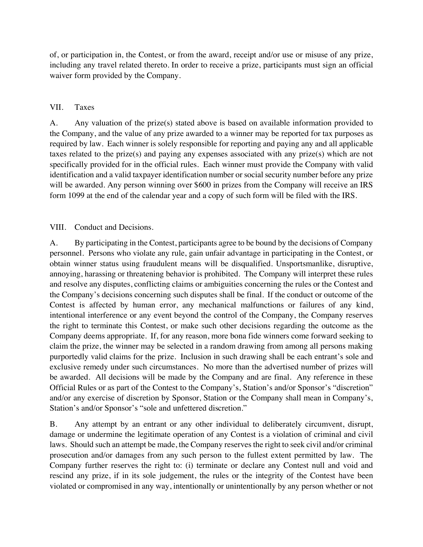of, or participation in, the Contest, or from the award, receipt and/or use or misuse of any prize, including any travel related thereto. In order to receive a prize, participants must sign an official waiver form provided by the Company.

## VII. Taxes

A. Any valuation of the prize(s) stated above is based on available information provided to the Company, and the value of any prize awarded to a winner may be reported for tax purposes as required by law. Each winner is solely responsible for reporting and paying any and all applicable taxes related to the prize(s) and paying any expenses associated with any prize(s) which are not specifically provided for in the official rules. Each winner must provide the Company with valid identification and a valid taxpayer identification number or social security number before any prize will be awarded. Any person winning over \$600 in prizes from the Company will receive an IRS form 1099 at the end of the calendar year and a copy of such form will be filed with the IRS.

## VIII. Conduct and Decisions.

A. By participating in the Contest, participants agree to be bound by the decisions of Company personnel. Persons who violate any rule, gain unfair advantage in participating in the Contest, or obtain winner status using fraudulent means will be disqualified. Unsportsmanlike, disruptive, annoying, harassing or threatening behavior is prohibited. The Company will interpret these rules and resolve any disputes, conflicting claims or ambiguities concerning the rules or the Contest and the Company's decisions concerning such disputes shall be final. If the conduct or outcome of the Contest is affected by human error, any mechanical malfunctions or failures of any kind, intentional interference or any event beyond the control of the Company, the Company reserves the right to terminate this Contest, or make such other decisions regarding the outcome as the Company deems appropriate. If, for any reason, more bona fide winners come forward seeking to claim the prize, the winner may be selected in a random drawing from among all persons making purportedly valid claims for the prize. Inclusion in such drawing shall be each entrant's sole and exclusive remedy under such circumstances. No more than the advertised number of prizes will be awarded. All decisions will be made by the Company and are final. Any reference in these Official Rules or as part of the Contest to the Company's, Station's and/or Sponsor's "discretion" and/or any exercise of discretion by Sponsor, Station or the Company shall mean in Company's, Station's and/or Sponsor's "sole and unfettered discretion."

B. Any attempt by an entrant or any other individual to deliberately circumvent, disrupt, damage or undermine the legitimate operation of any Contest is a violation of criminal and civil laws. Should such an attempt be made, the Company reserves the right to seek civil and/or criminal prosecution and/or damages from any such person to the fullest extent permitted by law. The Company further reserves the right to: (i) terminate or declare any Contest null and void and rescind any prize, if in its sole judgement, the rules or the integrity of the Contest have been violated or compromised in any way, intentionally or unintentionally by any person whether or not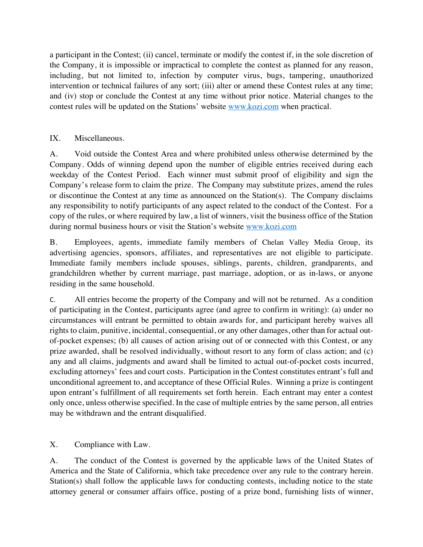a participant in the Contest; (ii) cancel, terminate or modify the contest if, in the sole discretion of the Company, it is impossible or impractical to complete the contest as planned for any reason, including, but not limited to, infection by computer virus, bugs, tampering, unauthorized intervention or technical failures of any sort; (iii) alter or amend these Contest rules at any time; and (iv) stop or conclude the Contest at any time without prior notice. Material changes to the contest rules will be updated on the Stations' website www.kozi.com when practical.

## IX. Miscellaneous.

A. Void outside the Contest Area and where prohibited unless otherwise determined by the Company. Odds of winning depend upon the number of eligible entries received during each weekday of the Contest Period. Each winner must submit proof of eligibility and sign the Company's release form to claim the prize. The Company may substitute prizes, amend the rules or discontinue the Contest at any time as announced on the Station(s). The Company disclaims any responsibility to notify participants of any aspect related to the conduct of the Contest. For a copy of the rules, or where required by law, a list of winners, visit the business office of the Station during normal business hours or visit the Station's website www.kozi.com

B. Employees, agents, immediate family members of Chelan Valley Media Group, its advertising agencies, sponsors, affiliates, and representatives are not eligible to participate. Immediate family members include spouses, siblings, parents, children, grandparents, and grandchildren whether by current marriage, past marriage, adoption, or as in-laws, or anyone residing in the same household.

C. All entries become the property of the Company and will not be returned. As a condition of participating in the Contest, participants agree (and agree to confirm in writing): (a) under no circumstances will entrant be permitted to obtain awards for, and participant hereby waives all rights to claim, punitive, incidental, consequential, or any other damages, other than for actual outof-pocket expenses; (b) all causes of action arising out of or connected with this Contest, or any prize awarded, shall be resolved individually, without resort to any form of class action; and (c) any and all claims, judgments and award shall be limited to actual out-of-pocket costs incurred, excluding attorneys' fees and court costs. Participation in the Contest constitutes entrant's full and unconditional agreement to, and acceptance of these Official Rules. Winning a prize is contingent upon entrant's fulfillment of all requirements set forth herein. Each entrant may enter a contest only once, unless otherwise specified. In the case of multiple entries by the same person, all entries may be withdrawn and the entrant disqualified.

X. Compliance with Law.

A. The conduct of the Contest is governed by the applicable laws of the United States of America and the State of California, which take precedence over any rule to the contrary herein. Station(s) shall follow the applicable laws for conducting contests, including notice to the state attorney general or consumer affairs office, posting of a prize bond, furnishing lists of winner,